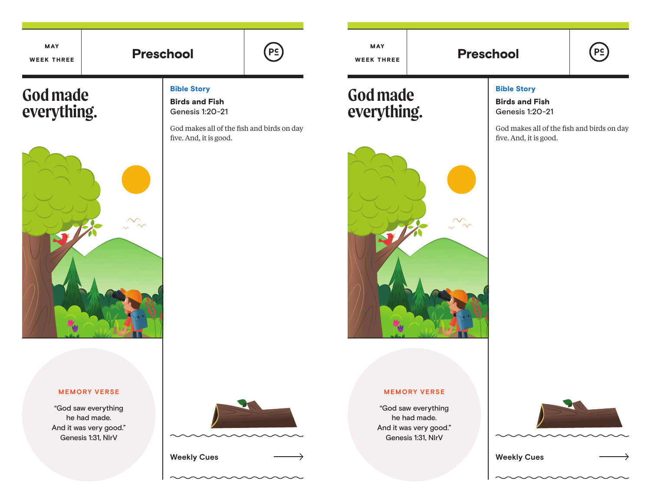

MAY

**God made** 

**everything.**

# $(PC)$

**God made everything.**

MAY WEEK THREE



# Bible Story

Birds and Fish Genesis 1:20-21

God makes all of the fish and birds on day five. And, it is good.



### Bible Story

Birds and Fish Genesis 1:20-21

God makes all of the fish and birds on day five. And, it is good.

### **MEMORY VERSE**

"God saw everything he had made. And it was very good." Genesis 1:31, NIrV





**MEMORY VERSE**

"God saw everything he had made. And it was very good." Genesis 1:31, NIrV